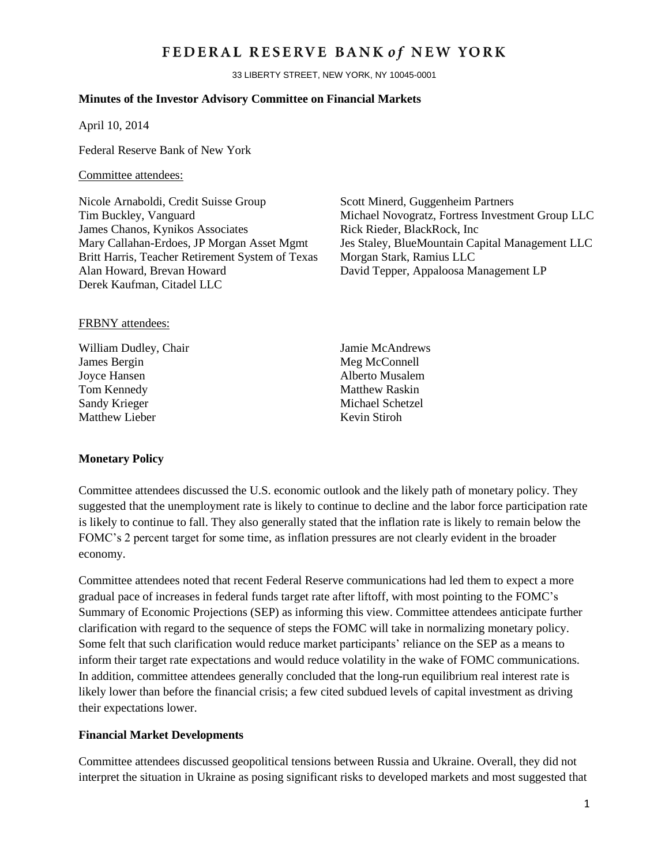## FEDERAL RESERVE BANK of NEW YORK

33 LIBERTY STREET, NEW YORK, NY 10045-0001

#### **Minutes of the Investor Advisory Committee on Financial Markets**

April 10, 2014

Federal Reserve Bank of New York

#### Committee attendees:

Nicole Arnaboldi, Credit Suisse Group Scott Minerd, Guggenheim Partners James Chanos, Kynikos Associates Rick Rieder, BlackRock, Inc Britt Harris, Teacher Retirement System of Texas Morgan Stark, Ramius LLC Alan Howard, Brevan Howard David Tepper, Appaloosa Management LP Derek Kaufman, Citadel LLC

Tim Buckley, Vanguard Michael Novogratz, Fortress Investment Group LLC Mary Callahan-Erdoes, JP Morgan Asset Mgmt Jes Staley, BlueMountain Capital Management LLC

#### FRBNY attendees:

William Dudley, Chair Jamie McAndrews James Bergin Meg McConnell Joyce Hansen **Alberto Musalem** Tom Kennedy Matthew Raskin Sandy Krieger Michael Schetzel Matthew Lieber **Kevin Stiroh** 

#### **Monetary Policy**

Committee attendees discussed the U.S. economic outlook and the likely path of monetary policy. They suggested that the unemployment rate is likely to continue to decline and the labor force participation rate is likely to continue to fall. They also generally stated that the inflation rate is likely to remain below the FOMC's 2 percent target for some time, as inflation pressures are not clearly evident in the broader economy.

Committee attendees noted that recent Federal Reserve communications had led them to expect a more gradual pace of increases in federal funds target rate after liftoff, with most pointing to the FOMC's Summary of Economic Projections (SEP) as informing this view. Committee attendees anticipate further clarification with regard to the sequence of steps the FOMC will take in normalizing monetary policy. Some felt that such clarification would reduce market participants' reliance on the SEP as a means to inform their target rate expectations and would reduce volatility in the wake of FOMC communications. In addition, committee attendees generally concluded that the long-run equilibrium real interest rate is likely lower than before the financial crisis; a few cited subdued levels of capital investment as driving their expectations lower.

#### **Financial Market Developments**

Committee attendees discussed geopolitical tensions between Russia and Ukraine. Overall, they did not interpret the situation in Ukraine as posing significant risks to developed markets and most suggested that